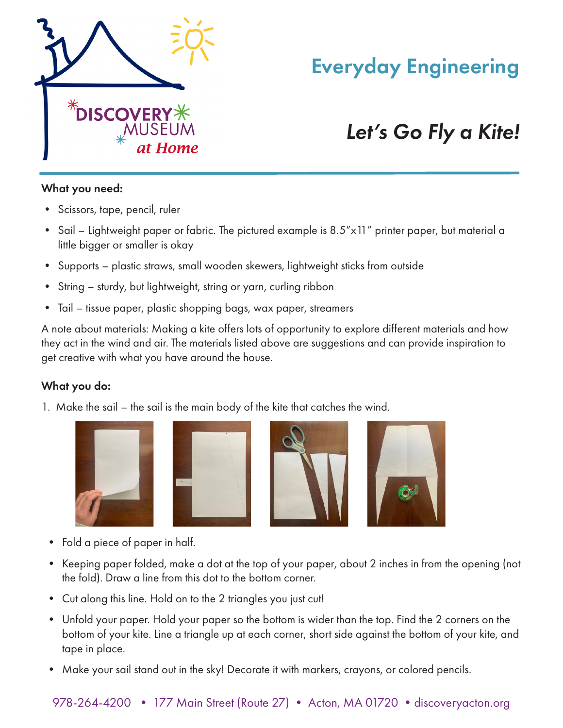

## Everyday Engineering

# *Let's Go Fly a Kite!*

#### What you need:

- Scissors, tape, pencil, ruler
- Sail Lightweight paper or fabric. The pictured example is 8.5"x11" printer paper, but material a little bigger or smaller is okay
- Supports plastic straws, small wooden skewers, lightweight sticks from outside
- String sturdy, but lightweight, string or yarn, curling ribbon
- Tail tissue paper, plastic shopping bags, wax paper, streamers

A note about materials: Making a kite offers lots of opportunity to explore different materials and how they act in the wind and air. The materials listed above are suggestions and can provide inspiration to get creative with what you have around the house.

## What you do:

1. Make the sail – the sail is the main body of the kite that catches the wind.









- Fold a piece of paper in half.
- Keeping paper folded, make a dot at the top of your paper, about 2 inches in from the opening (not the fold). Draw a line from this dot to the bottom corner.
- Cut along this line. Hold on to the 2 triangles you just cut!
- Unfold your paper. Hold your paper so the bottom is wider than the top. Find the 2 corners on the bottom of your kite. Line a triangle up at each corner, short side against the bottom of your kite, and tape in place.
- Make your sail stand out in the sky! Decorate it with markers, crayons, or colored pencils.